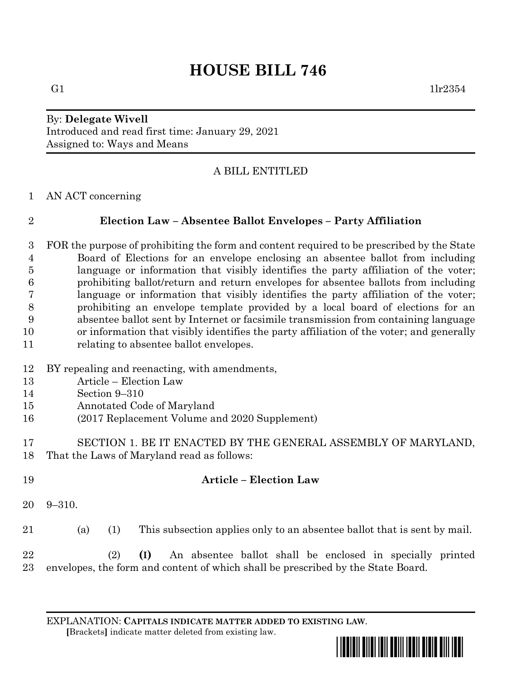# **HOUSE BILL 746**

### By: **Delegate Wivell** Introduced and read first time: January 29, 2021 Assigned to: Ways and Means

## A BILL ENTITLED

AN ACT concerning

# **Election Law – Absentee Ballot Envelopes – Party Affiliation**

 FOR the purpose of prohibiting the form and content required to be prescribed by the State Board of Elections for an envelope enclosing an absentee ballot from including language or information that visibly identifies the party affiliation of the voter; prohibiting ballot/return and return envelopes for absentee ballots from including language or information that visibly identifies the party affiliation of the voter; prohibiting an envelope template provided by a local board of elections for an absentee ballot sent by Internet or facsimile transmission from containing language or information that visibly identifies the party affiliation of the voter; and generally relating to absentee ballot envelopes.

- BY repealing and reenacting, with amendments,
- Article Election Law
- Section 9–310
- Annotated Code of Maryland
- (2017 Replacement Volume and 2020 Supplement)
- SECTION 1. BE IT ENACTED BY THE GENERAL ASSEMBLY OF MARYLAND, That the Laws of Maryland read as follows:
- **Article – Election Law**
- 9–310.
- (a) (1) This subsection applies only to an absentee ballot that is sent by mail.

 (2) **(I)** An absentee ballot shall be enclosed in specially printed envelopes, the form and content of which shall be prescribed by the State Board.

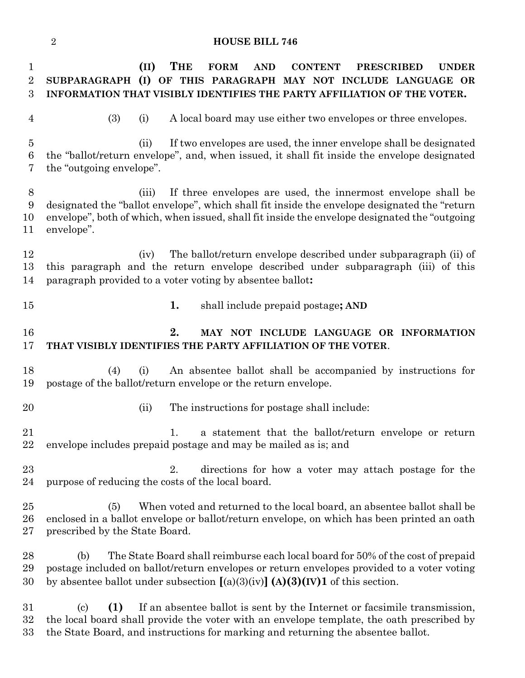### **HOUSE BILL 746**

| 1                                      | <b>THE</b><br>(II)<br><b>FORM</b><br><b>AND</b><br><b>CONTENT</b><br><b>PRESCRIBED</b><br><b>UNDER</b>                                                                                                                                                                                |
|----------------------------------------|---------------------------------------------------------------------------------------------------------------------------------------------------------------------------------------------------------------------------------------------------------------------------------------|
| $\sqrt{2}$                             | OF THIS PARAGRAPH MAY NOT INCLUDE LANGUAGE OR<br>(I)<br><b>SUBPARAGRAPH</b>                                                                                                                                                                                                           |
| 3                                      | INFORMATION THAT VISIBLY IDENTIFIES THE PARTY AFFILIATION OF THE VOTER.                                                                                                                                                                                                               |
| $\overline{4}$                         | (3)<br>A local board may use either two envelopes or three envelopes.<br>(i)                                                                                                                                                                                                          |
| $\overline{5}$<br>$6\phantom{.}6$<br>7 | If two envelopes are used, the inner envelope shall be designated<br>(ii)<br>the "ballot/return envelope", and, when issued, it shall fit inside the envelope designated<br>the "outgoing envelope".                                                                                  |
| $8\,$<br>9<br>10<br>11                 | If three envelopes are used, the innermost envelope shall be<br>(iii)<br>designated the "ballot envelope", which shall fit inside the envelope designated the "return<br>envelope", both of which, when issued, shall fit inside the envelope designated the "outgoing"<br>envelope". |
| 12<br>13<br>14                         | The ballot/return envelope described under subparagraph (ii) of<br>(iv)<br>this paragraph and the return envelope described under subparagraph (iii) of this<br>paragraph provided to a voter voting by absentee ballot:                                                              |
| 15                                     | 1.<br>shall include prepaid postage; AND                                                                                                                                                                                                                                              |
| 16<br>17                               | 2.<br>MAY NOT INCLUDE LANGUAGE OR INFORMATION<br>THAT VISIBLY IDENTIFIES THE PARTY AFFILIATION OF THE VOTER.                                                                                                                                                                          |
| 18<br>19                               | An absentee ballot shall be accompanied by instructions for<br>(4)<br>(i)<br>postage of the ballot/return envelope or the return envelope.                                                                                                                                            |
| 20                                     | The instructions for postage shall include:<br>(ii)                                                                                                                                                                                                                                   |
| 21<br>$\bf 22$                         | a statement that the ballot/return envelope or return<br>1.<br>envelope includes prepaid postage and may be mailed as is; and                                                                                                                                                         |
| 23<br>24                               | 2.<br>directions for how a voter may attach postage for the<br>purpose of reducing the costs of the local board.                                                                                                                                                                      |
| 25<br>26<br>27                         | When voted and returned to the local board, an absentee ballot shall be<br>(5)<br>enclosed in a ballot envelope or ballot/return envelope, on which has been printed an oath<br>prescribed by the State Board.                                                                        |
| 28<br>29<br>30                         | The State Board shall reimburse each local board for 50% of the cost of prepaid<br>(b)<br>postage included on ballot/return envelopes or return envelopes provided to a voter voting<br>by absentee ballot under subsection $[(a)(3)(iv)]$ (A)(3)(IV)1 of this section.               |
| 31<br>$32\,$<br>33                     | If an absentee ballot is sent by the Internet or facsimile transmission,<br>(1)<br>(c)<br>the local board shall provide the voter with an envelope template, the oath prescribed by<br>the State Board, and instructions for marking and returning the absentee ballot.               |